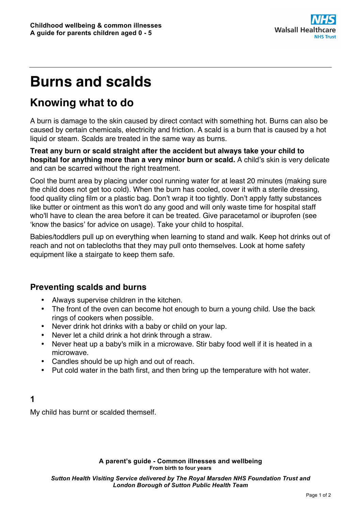

# **Burns and scalds**

# **Knowing what to do**

A burn is damage to the skin caused by direct contact with something hot. Burns can also be caused by certain chemicals, electricity and friction. A scald is a burn that is caused by a hot liquid or steam. Scalds are treated in the same way as burns.

**Treat any burn or scald straight after the accident but always take your child to hospital for anything more than a very minor burn or scald.** A child's skin is very delicate and can be scarred without the right treatment.

Cool the burnt area by placing under cool running water for at least 20 minutes (making sure the child does not get too cold). When the burn has cooled, cover it with a sterile dressing, food quality cling film or a plastic bag. Don't wrap it too tightly. Don't apply fatty substances like butter or ointment as this won't do any good and will only waste time for hospital staff who'll have to clean the area before it can be treated. Give paracetamol or ibuprofen (see 'know the basics' for advice on usage). Take your child to hospital.

Babies/toddlers pull up on everything when learning to stand and walk. Keep hot drinks out of reach and not on tablecloths that they may pull onto themselves. Look at home safety equipment like a stairgate to keep them safe.

## **Preventing scalds and burns**

- Always supervise children in the kitchen.
- The front of the oven can become hot enough to burn a young child. Use the back rings of cookers when possible.
- Never drink hot drinks with a baby or child on your lap.
- Never let a child drink a hot drink through a straw.
- Never heat up a baby's milk in a microwave. Stir baby food well if it is heated in a microwave.
- Candles should be up high and out of reach.
- Put cold water in the bath first, and then bring up the temperature with hot water.

#### **1**

My child has burnt or scalded themself.

**A parent's guide - Common illnesses and wellbeing From birth to four years**

*Sutton Health Visiting Service delivered by The Royal Marsden NHS Foundation Trust and London Borough of Sutton Public Health Team*